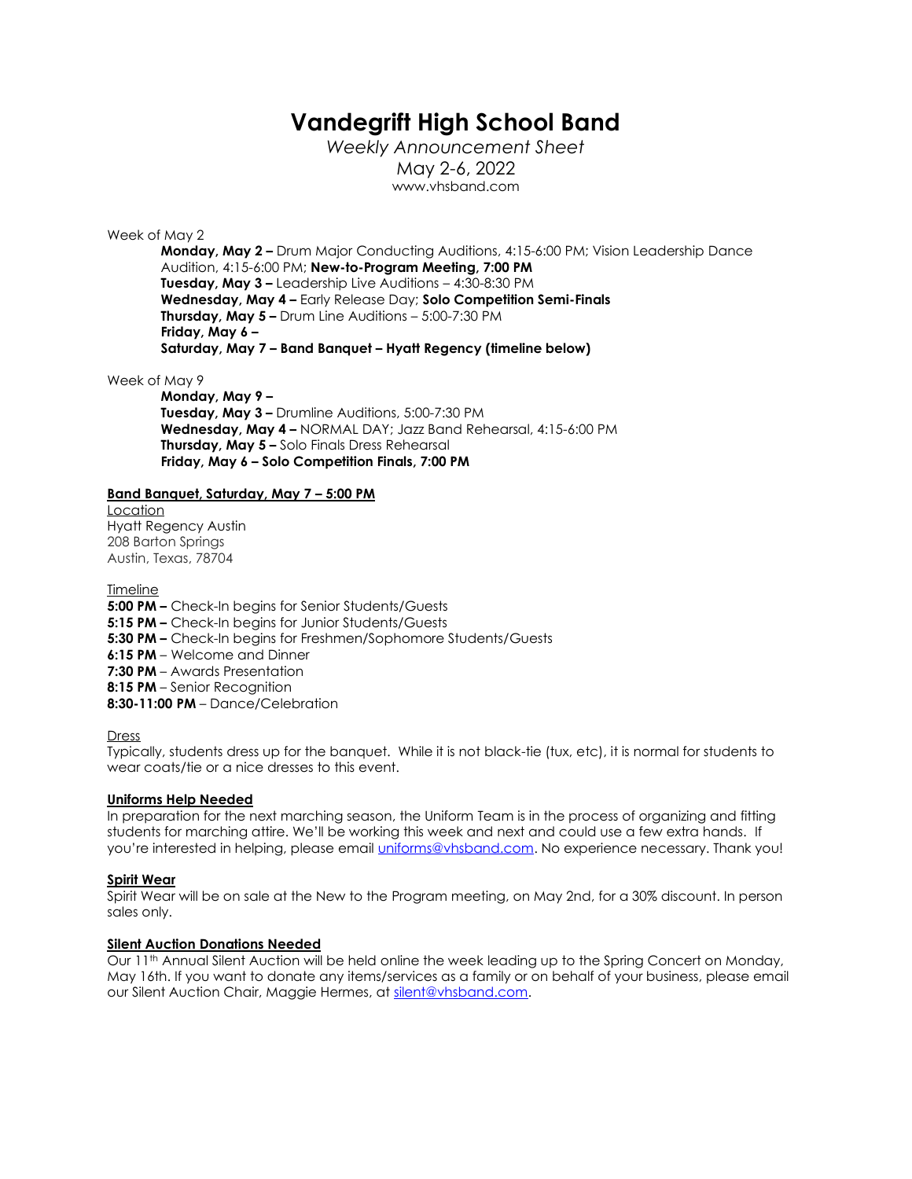# **Vandegrift High School Band**

*Weekly Announcement Sheet* May 2-6, 2022 www.vhsband.com

#### Week of May 2

**Monday, May 2 –** Drum Major Conducting Auditions, 4:15-6:00 PM; Vision Leadership Dance Audition, 4:15-6:00 PM; **New-to-Program Meeting, 7:00 PM Tuesday, May 3 –** Leadership Live Auditions – 4:30-8:30 PM **Wednesday, May 4 –** Early Release Day; **Solo Competition Semi-Finals Thursday, May 5 –** Drum Line Auditions – 5:00-7:30 PM **Friday, May 6 – Saturday, May 7 – Band Banquet – Hyatt Regency (timeline below)**

Week of May 9

**Monday, May 9 – Tuesday, May 3 –** Drumline Auditions, 5:00-7:30 PM **Wednesday, May 4 –** NORMAL DAY; Jazz Band Rehearsal, 4:15-6:00 PM **Thursday, May 5 –** Solo Finals Dress Rehearsal **Friday, May 6 – Solo Competition Finals, 7:00 PM**

### **Band Banquet, Saturday, May 7 – 5:00 PM**

Location Hyatt Regency Austin 208 Barton Springs Austin, Texas, 78704

**Timeline** 

**5:00 PM –** Check-In begins for Senior Students/Guests **5:15 PM –** Check-In begins for Junior Students/Guests **5:30 PM –** Check-In begins for Freshmen/Sophomore Students/Guests **6:15 PM** – Welcome and Dinner **7:30 PM** – Awards Presentation **8:15 PM** – Senior Recognition **8:30-11:00 PM** – Dance/Celebration

### Dress

Typically, students dress up for the banquet. While it is not black-tie (tux, etc), it is normal for students to wear coats/tie or a nice dresses to this event.

### **Uniforms Help Needed**

In preparation for the next marching season, the Uniform Team is in the process of organizing and fitting students for marching attire. We'll be working this week and next and could use a few extra hands. If you're interested in helping, please email [uniforms@vhsband.com.](mailto:uniforms@vhsband.com) No experience necessary. Thank you!

### **Spirit Wear**

Spirit Wear will be on sale at the New to the Program meeting, on May 2nd, for a 30% discount. In person sales only.

## **Silent Auction Donations Needed**

Our 11th Annual Silent Auction will be held online the week leading up to the Spring Concert on Monday, May 16th. If you want to donate any items/services as a family or on behalf of your business, please email our Silent Auction Chair, Maggie Hermes, at [silent@vhsband.com.](mailto:silent@vhsband.com)